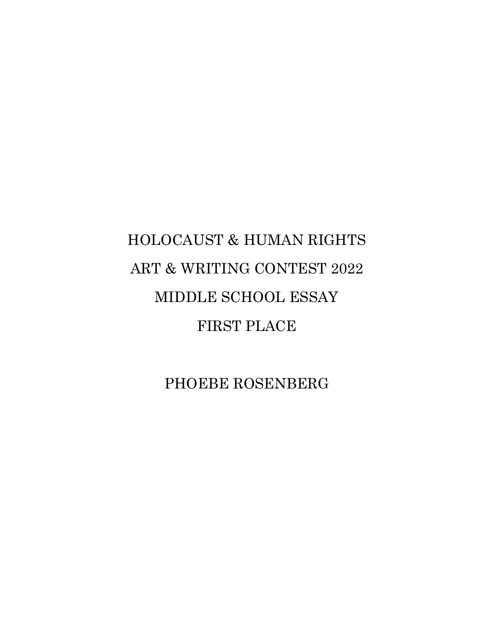# HOLOCAUST & HUMAN RIGHTS ART & WRITING CONTEST 2022 MIDDLE SCHOOL ESSAY FIRST PLACE

PHOEBE ROSENBERG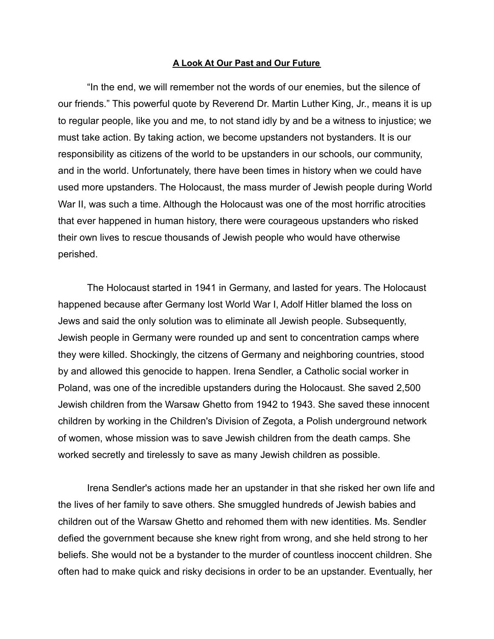#### **A Look At Our Past and Our Future**

"In the end, we will remember not the words of our enemies, but the silence of our friends." This powerful quote by Reverend Dr. Martin Luther King, Jr., means it is up to regular people, like you and me, to not stand idly by and be a witness to injustice; we must take action. By taking action, we become upstanders not bystanders. It is our responsibility as citizens of the world to be upstanders in our schools, our community, and in the world. Unfortunately, there have been times in history when we could have used more upstanders. The Holocaust, the mass murder of Jewish people during World War II, was such a time. Although the Holocaust was one of the most horrific atrocities that ever happened in human history, there were courageous upstanders who risked their own lives to rescue thousands of Jewish people who would have otherwise perished.

The Holocaust started in 1941 in Germany, and lasted for years. The Holocaust happened because after Germany lost World War I, Adolf Hitler blamed the loss on Jews and said the only solution was to eliminate all Jewish people. Subsequently, Jewish people in Germany were rounded up and sent to concentration camps where they were killed. Shockingly, the citzens of Germany and neighboring countries, stood by and allowed this genocide to happen. Irena Sendler, a Catholic social worker in Poland, was one of the incredible upstanders during the Holocaust. She saved 2,500 Jewish children from the Warsaw Ghetto from 1942 to 1943. She saved these innocent children by working in the Children's Division of Zegota, a Polish underground network of women, whose mission was to save Jewish children from the death camps. She worked secretly and tirelessly to save as many Jewish children as possible.

Irena Sendler's actions made her an upstander in that she risked her own life and the lives of her family to save others. She smuggled hundreds of Jewish babies and children out of the Warsaw Ghetto and rehomed them with new identities. Ms. Sendler defied the government because she knew right from wrong, and she held strong to her beliefs. She would not be a bystander to the murder of countless inoccent children. She often had to make quick and risky decisions in order to be an upstander. Eventually, her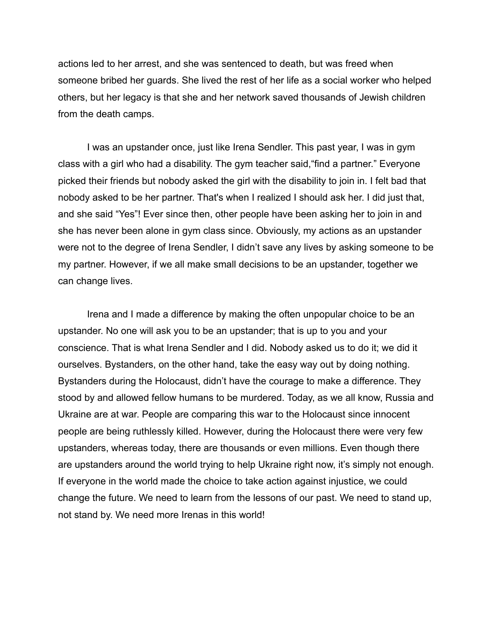actions led to her arrest, and she was sentenced to death, but was freed when someone bribed her guards. She lived the rest of her life as a social worker who helped others, but her legacy is that she and her network saved thousands of Jewish children from the death camps.

I was an upstander once, just like Irena Sendler. This past year, I was in gym class with a girl who had a disability. The gym teacher said,"find a partner." Everyone picked their friends but nobody asked the girl with the disability to join in. I felt bad that nobody asked to be her partner. That's when I realized I should ask her. I did just that, and she said "Yes"! Ever since then, other people have been asking her to join in and she has never been alone in gym class since. Obviously, my actions as an upstander were not to the degree of Irena Sendler, I didn't save any lives by asking someone to be my partner. However, if we all make small decisions to be an upstander, together we can change lives.

Irena and I made a difference by making the often unpopular choice to be an upstander. No one will ask you to be an upstander; that is up to you and your conscience. That is what Irena Sendler and I did. Nobody asked us to do it; we did it ourselves. Bystanders, on the other hand, take the easy way out by doing nothing. Bystanders during the Holocaust, didn't have the courage to make a difference. They stood by and allowed fellow humans to be murdered. Today, as we all know, Russia and Ukraine are at war. People are comparing this war to the Holocaust since innocent people are being ruthlessly killed. However, during the Holocaust there were very few upstanders, whereas today, there are thousands or even millions. Even though there are upstanders around the world trying to help Ukraine right now, it's simply not enough. If everyone in the world made the choice to take action against injustice, we could change the future. We need to learn from the lessons of our past. We need to stand up, not stand by. We need more Irenas in this world!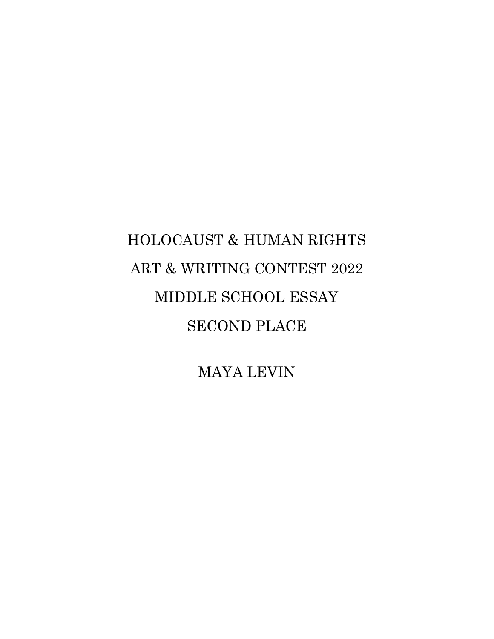# HOLOCAUST & HUMAN RIGHTS ART & WRITING CONTEST 2022 MIDDLE SCHOOL ESSAY SECOND PLACE

MAYA LEVIN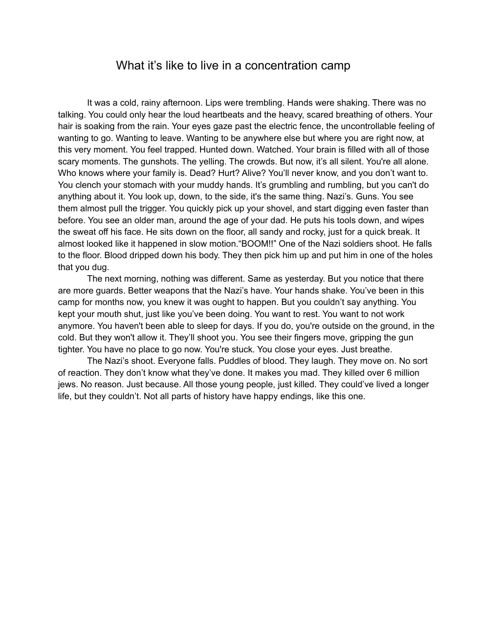### What it's like to live in a concentration camp

It was a cold, rainy afternoon. Lips were trembling. Hands were shaking. There was no talking. You could only hear the loud heartbeats and the heavy, scared breathing of others. Your hair is soaking from the rain. Your eyes gaze past the electric fence, the uncontrollable feeling of wanting to go. Wanting to leave. Wanting to be anywhere else but where you are right now, at this very moment. You feel trapped. Hunted down. Watched. Your brain is filled with all of those scary moments. The gunshots. The yelling. The crowds. But now, it's all silent. You're all alone. Who knows where your family is. Dead? Hurt? Alive? You'll never know, and you don't want to. You clench your stomach with your muddy hands. It's grumbling and rumbling, but you can't do anything about it. You look up, down, to the side, it's the same thing. Nazi's. Guns. You see them almost pull the trigger. You quickly pick up your shovel, and start digging even faster than before. You see an older man, around the age of your dad. He puts his tools down, and wipes the sweat off his face. He sits down on the floor, all sandy and rocky, just for a quick break. It almost looked like it happened in slow motion."BOOM!!" One of the Nazi soldiers shoot. He falls to the floor. Blood dripped down his body. They then pick him up and put him in one of the holes that you dug.

The next morning, nothing was different. Same as yesterday. But you notice that there are more guards. Better weapons that the Nazi's have. Your hands shake. You've been in this camp for months now, you knew it was ought to happen. But you couldn't say anything. You kept your mouth shut, just like you've been doing. You want to rest. You want to not work anymore. You haven't been able to sleep for days. If you do, you're outside on the ground, in the cold. But they won't allow it. They'll shoot you. You see their fingers move, gripping the gun tighter. You have no place to go now. You're stuck. You close your eyes. Just breathe.

The Nazi's shoot. Everyone falls. Puddles of blood. They laugh. They move on. No sort of reaction. They don't know what they've done. It makes you mad. They killed over 6 million jews. No reason. Just because. All those young people, just killed. They could've lived a longer life, but they couldn't. Not all parts of history have happy endings, like this one.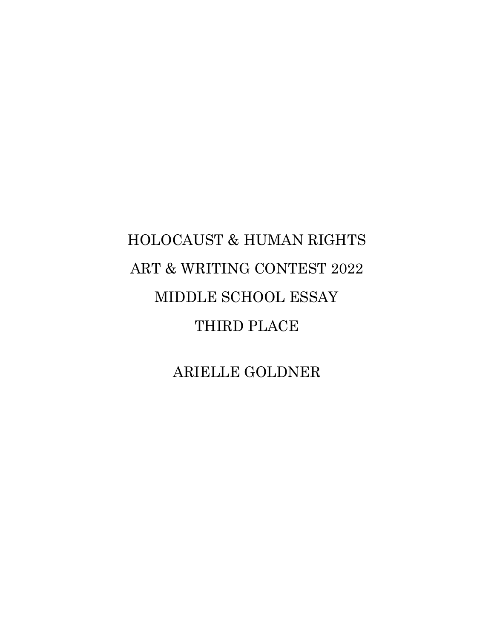# HOLOCAUST & HUMAN RIGHTS ART & WRITING CONTEST 2022 MIDDLE SCHOOL ESSAY THIRD PLACE

ARIELLE GOLDNER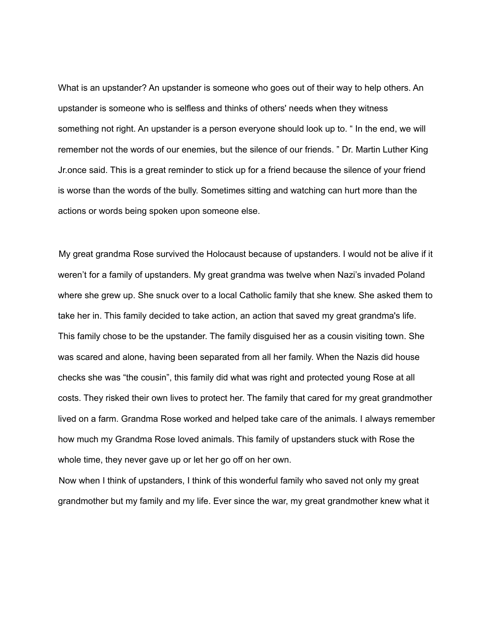What is an upstander? An upstander is someone who goes out of their way to help others. An upstander is someone who is selfless and thinks of others' needs when they witness something not right. An upstander is a person everyone should look up to. " In the end, we will remember not the words of our enemies, but the silence of our friends. " Dr. Martin Luther King Jr.once said. This is a great reminder to stick up for a friend because the silence of your friend is worse than the words of the bully. Sometimes sitting and watching can hurt more than the actions or words being spoken upon someone else.

My great grandma Rose survived the Holocaust because of upstanders. I would not be alive if it weren't for a family of upstanders. My great grandma was twelve when Nazi's invaded Poland where she grew up. She snuck over to a local Catholic family that she knew. She asked them to take her in. This family decided to take action, an action that saved my great grandma's life. This family chose to be the upstander. The family disguised her as a cousin visiting town. She was scared and alone, having been separated from all her family. When the Nazis did house checks she was "the cousin", this family did what was right and protected young Rose at all costs. They risked their own lives to protect her. The family that cared for my great grandmother lived on a farm. Grandma Rose worked and helped take care of the animals. I always remember how much my Grandma Rose loved animals. This family of upstanders stuck with Rose the whole time, they never gave up or let her go off on her own.

Now when I think of upstanders, I think of this wonderful family who saved not only my great grandmother but my family and my life. Ever since the war, my great grandmother knew what it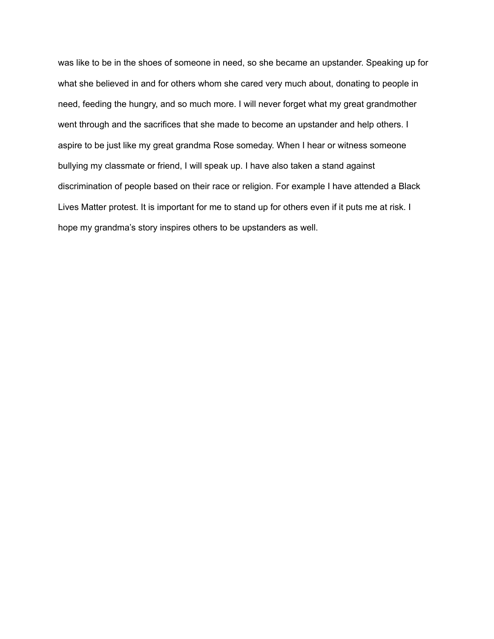was like to be in the shoes of someone in need, so she became an upstander. Speaking up for what she believed in and for others whom she cared very much about, donating to people in need, feeding the hungry, and so much more. I will never forget what my great grandmother went through and the sacrifices that she made to become an upstander and help others. I aspire to be just like my great grandma Rose someday. When I hear or witness someone bullying my classmate or friend, I will speak up. I have also taken a stand against discrimination of people based on their race or religion. For example I have attended a Black Lives Matter protest. It is important for me to stand up for others even if it puts me at risk. I hope my grandma's story inspires others to be upstanders as well.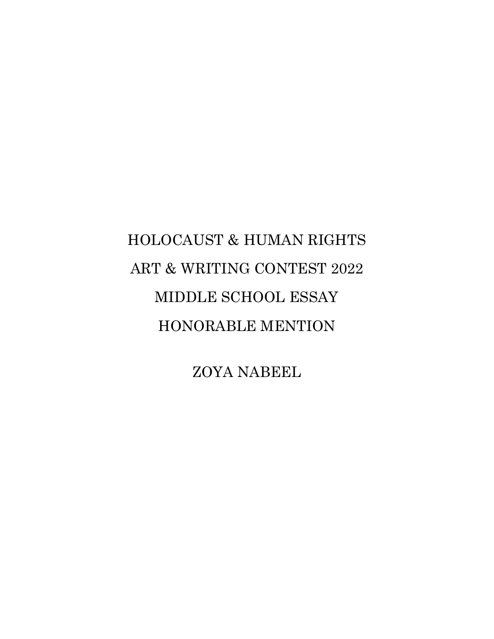# HOLOCAUST & HUMAN RIGHTS ART & WRITING CONTEST 2022 MIDDLE SCHOOL ESSAY HONORABLE MENTION

ZOYA NABEEL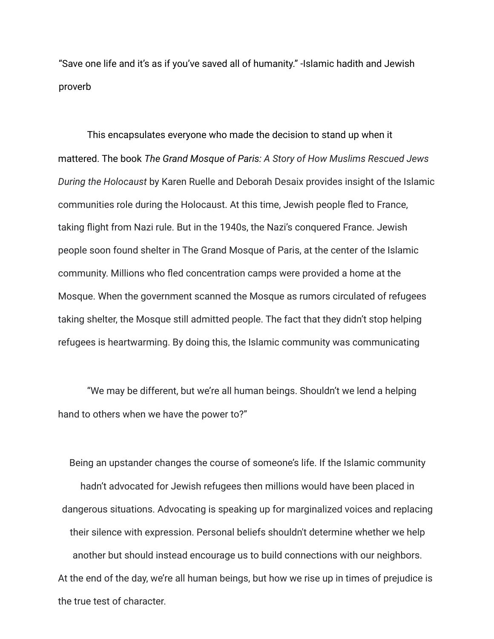"Save one life and it's as if you've saved all of humanity." -Islamic hadith and Jewish proverb

This encapsulates everyone who made the decision to stand up when it mattered. The book *The Grand Mosque of Paris: A Story of How Muslims Rescued Jews During the Holocaust* by Karen Ruelle and Deborah Desaix provides insight of the Islamic communities role during the Holocaust. At this time, Jewish people fled to France, taking flight from Nazi rule. But in the 1940s, the Nazi's conquered France. Jewish people soon found shelter in The Grand Mosque of Paris, at the center of the Islamic community. Millions who fled concentration camps were provided a home at the Mosque. When the government scanned the Mosque as rumors circulated of refugees taking shelter, the Mosque still admitted people. The fact that they didn't stop helping refugees is heartwarming. By doing this, the Islamic community was communicating

"We may be different, but we're all human beings. Shouldn't we lend a helping hand to others when we have the power to?"

Being an upstander changes the course of someone's life. If the Islamic community hadn't advocated for Jewish refugees then millions would have been placed in dangerous situations. Advocating is speaking up for marginalized voices and replacing their silence with expression. Personal beliefs shouldn't determine whether we help another but should instead encourage us to build connections with our neighbors. At the end of the day, we're all human beings, but how we rise up in times of prejudice is the true test of character.